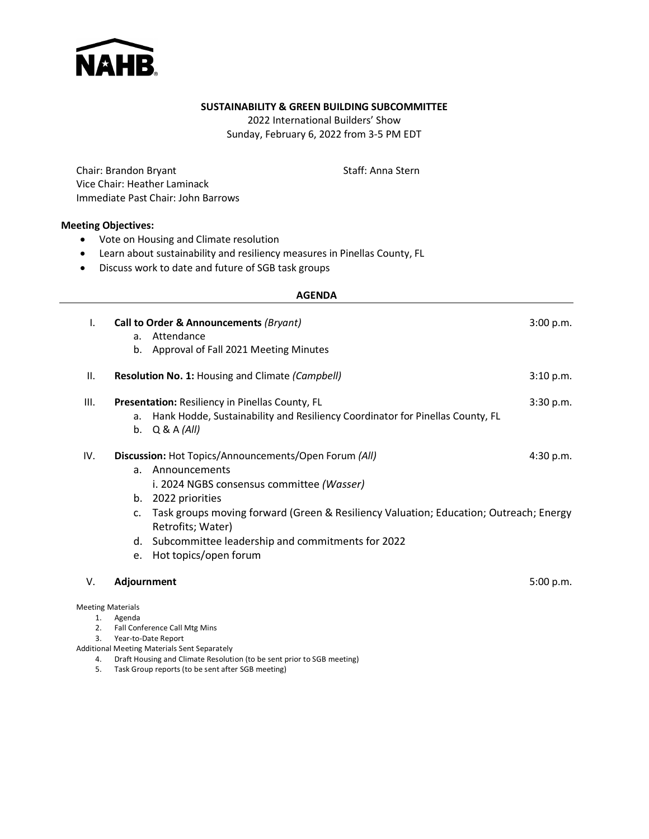

#### **SUSTAINABILITY & GREEN BUILDING SUBCOMMITTEE**

2022 International Builders' Show Sunday, February 6, 2022 from 3-5 PM EDT

Chair: Brandon Bryant Vice Chair: Heather Laminack Immediate Past Chair: John Barrows Staff: Anna Stern

### **Meeting Objectives:**

- Vote on Housing and Climate resolution
- Learn about sustainability and resiliency measures in Pinellas County, FL
- Discuss work to date and future of SGB task groups

#### **AGENDA**

| Ι.  | Call to Order & Announcements (Bryant) |                                                                                       |           |  |  |  |
|-----|----------------------------------------|---------------------------------------------------------------------------------------|-----------|--|--|--|
|     | a.                                     | Attendance                                                                            |           |  |  |  |
|     |                                        | b. Approval of Fall 2021 Meeting Minutes                                              |           |  |  |  |
| П.  |                                        | Resolution No. 1: Housing and Climate (Campbell)                                      | 3:10 p.m. |  |  |  |
| Ш.  |                                        | Presentation: Resiliency in Pinellas County, FL                                       | 3:30 p.m. |  |  |  |
|     | a.                                     | Hank Hodde, Sustainability and Resiliency Coordinator for Pinellas County, FL         |           |  |  |  |
|     |                                        | b. $Q & A (All)$                                                                      |           |  |  |  |
| IV. |                                        | Discussion: Hot Topics/Announcements/Open Forum (All)                                 | 4:30 p.m. |  |  |  |
|     | a.                                     | Announcements                                                                         |           |  |  |  |
|     |                                        | i. 2024 NGBS consensus committee (Wasser)                                             |           |  |  |  |
|     |                                        | b. 2022 priorities                                                                    |           |  |  |  |
|     | C <sub>1</sub>                         | Task groups moving forward (Green & Resiliency Valuation; Education; Outreach; Energy |           |  |  |  |
|     |                                        | Retrofits; Water)                                                                     |           |  |  |  |
|     |                                        | d. Subcommittee leadership and commitments for 2022                                   |           |  |  |  |
|     |                                        | e. Hot topics/open forum                                                              |           |  |  |  |
|     |                                        |                                                                                       |           |  |  |  |
| V.  | Adjournment                            |                                                                                       | 5:00 p.m. |  |  |  |
|     |                                        |                                                                                       |           |  |  |  |
| 1.  | <b>Meeting Materials</b>               |                                                                                       |           |  |  |  |
| 2.  |                                        | Agenda<br>Fall Conference Call Mtg Mins                                               |           |  |  |  |
| 3.  | Year-to-Date Report                    |                                                                                       |           |  |  |  |

Additional Meeting Materials Sent Separately

4. Draft Housing and Climate Resolution (to be sent prior to SGB meeting)

5. Task Group reports (to be sent after SGB meeting)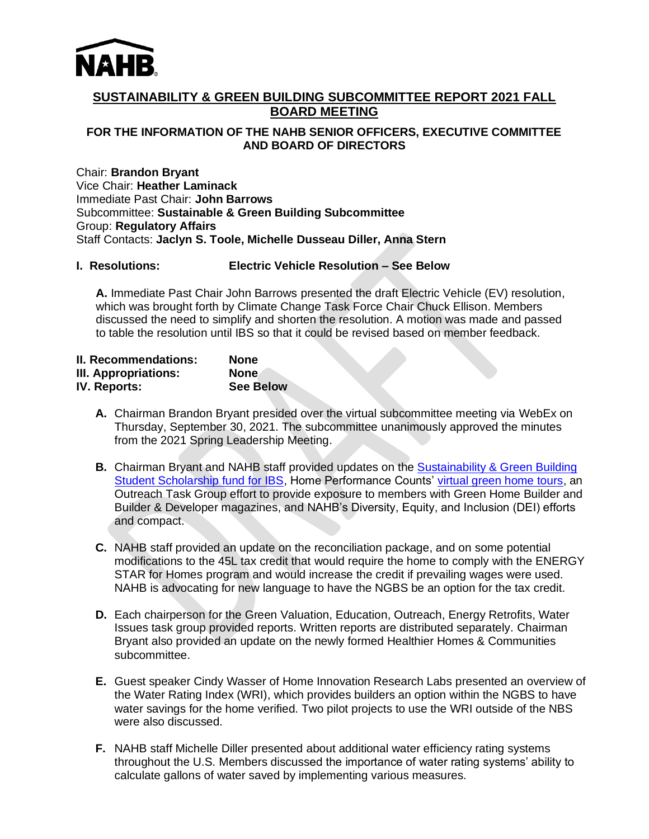

# **SUSTAINABILITY & GREEN BUILDING SUBCOMMITTEE REPORT 2021 FALL BOARD MEETING**

# **FOR THE INFORMATION OF THE NAHB SENIOR OFFICERS, EXECUTIVE COMMITTEE AND BOARD OF DIRECTORS**

Chair: **Brandon Bryant** Vice Chair: **Heather Laminack** Immediate Past Chair: **John Barrows** Subcommittee: **Sustainable & Green Building Subcommittee** Group: **Regulatory Affairs** Staff Contacts: **Jaclyn S. Toole, Michelle Dusseau Diller, Anna Stern**

# **I. Resolutions: Electric Vehicle Resolution – See Below**

 **A.** Immediate Past Chair John Barrows presented the draft Electric Vehicle (EV) resolution, which was brought forth by Climate Change Task Force Chair Chuck Ellison. Members discussed the need to simplify and shorten the resolution. A motion was made and passed to table the resolution until IBS so that it could be revised based on member feedback.

| <b>II. Recommendations:</b> | None             |
|-----------------------------|------------------|
| III. Appropriations:        | <b>None</b>      |
| <b>IV. Reports:</b>         | <b>See Below</b> |

- **A.** Chairman Brandon Bryant presided over the virtual subcommittee meeting via WebEx on Thursday, September 30, 2021. The subcommittee unanimously approved the minutes from the 2021 Spring Leadership Meeting.
- **B.** Chairman Bryant and NAHB staff provided updates on the [Sustainability & Green Building](https://donatenow.networkforgood.org/greenbuild)  [Student Scholarship fund for IBS,](https://donatenow.networkforgood.org/greenbuild) Home Performance Counts' [virtual green home tours,](https://www.nahb.org/forms/webinars/home-performance-counts-virtual-green-home-tour-series) an Outreach Task Group effort to provide exposure to members with Green Home Builder and Builder & Developer magazines, and NAHB's Diversity, Equity, and Inclusion (DEI) efforts and compact.
- **C.** NAHB staff provided an update on the reconciliation package, and on some potential modifications to the 45L tax credit that would require the home to comply with the ENERGY STAR for Homes program and would increase the credit if prevailing wages were used. NAHB is advocating for new language to have the NGBS be an option for the tax credit.
- **D.** Each chairperson for the Green Valuation, Education, Outreach, Energy Retrofits, Water Issues task group provided reports. Written reports are distributed separately. Chairman Bryant also provided an update on the newly formed Healthier Homes & Communities subcommittee.
- **E.** Guest speaker Cindy Wasser of Home Innovation Research Labs presented an overview of the Water Rating Index (WRI), which provides builders an option within the NGBS to have water savings for the home verified. Two pilot projects to use the WRI outside of the NBS were also discussed.
- **F.** NAHB staff Michelle Diller presented about additional water efficiency rating systems throughout the U.S. Members discussed the importance of water rating systems' ability to calculate gallons of water saved by implementing various measures.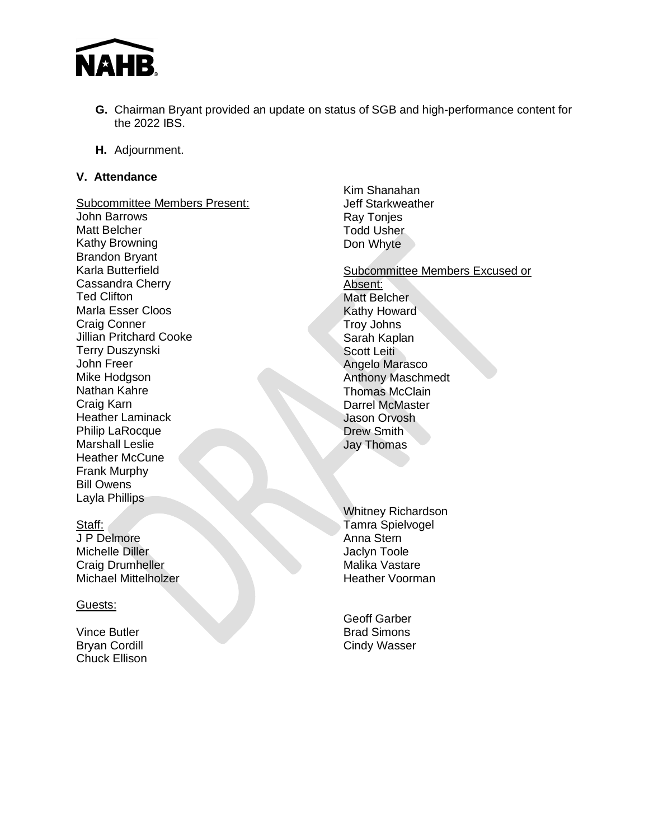

- **G.** Chairman Bryant provided an update on status of SGB and high-performance content for the 2022 IBS.
- **H.** Adjournment.

# **V. Attendance**

Subcommittee Members Present: John Barrows Matt Belcher Kathy Browning Brandon Bryant Karla Butterfield Cassandra Cherry Ted Clifton Marla Esser Cloos Craig Conner Jillian Pritchard Cooke Terry Duszynski John Freer Mike Hodgson Nathan Kahre Craig Karn Heather Laminack Philip LaRocque Marshall Leslie Heather McCune Frank Murphy Bill Owens Layla Phillips

### Staff:

J P Delmore Michelle Diller Craig Drumheller Michael Mittelholzer

### Guests:

Vince Butler Bryan Cordill Chuck Ellison

- Kim Shanahan Jeff Starkweather Ray Tonjes Todd Usher Don Whyte
- Subcommittee Members Excused or Absent: Matt Belcher Kathy Howard Troy Johns Sarah Kaplan Scott Leiti Angelo Marasco Anthony Maschmedt Thomas McClain Darrel McMaster Jason Orvosh Drew Smith Jay Thomas
- Whitney Richardson Tamra Spielvogel Anna Stern Jaclyn Toole Malika Vastare Heather Voorman

Geoff Garber Brad Simons Cindy Wasser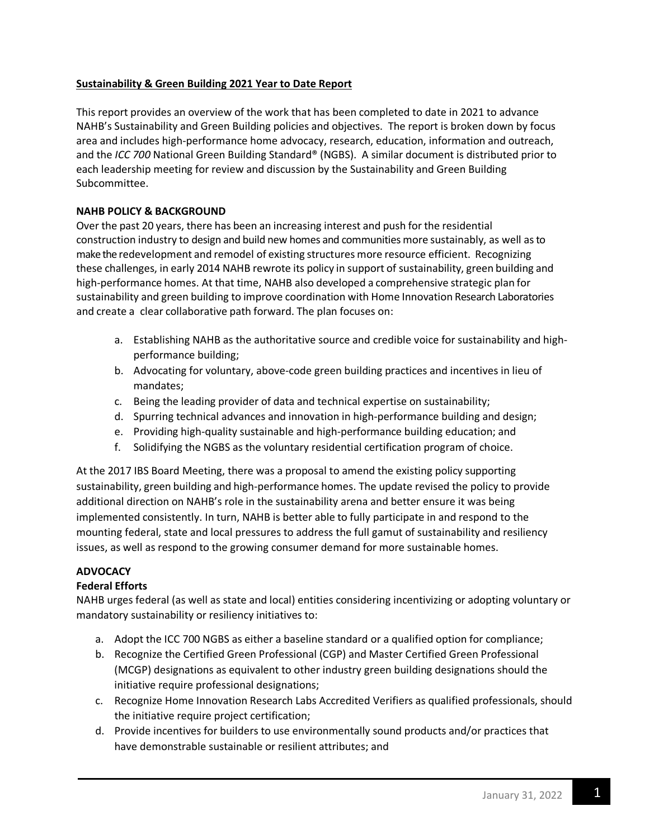# **Sustainability & Green Building 2021 Year to Date Report**

This report provides an overview of the work that has been completed to date in 2021 to advance NAHB's Sustainability and Green Building policies and objectives. The report is broken down by focus area and includes high-performance home advocacy, research, education, information and outreach, and the *ICC 700* National Green Building Standard® (NGBS). A similar document is distributed prior to each leadership meeting for review and discussion by the Sustainability and Green Building Subcommittee.

# **NAHB POLICY & BACKGROUND**

Over the past 20 years, there has been an increasing interest and push for the residential construction industry to design and build new homes and communities more sustainably, as well asto make the redevelopment and remodel of existing structures more resource efficient. Recognizing these challenges, in early 2014 NAHB rewrote its policy in support of sustainability, green building and high-performance homes. At that time, NAHB also developed a comprehensive strategic plan for sustainability and green building to improve coordination with Home Innovation Research Laboratories and create a clear collaborative path forward. The plan focuses on:

- a. Establishing NAHB as the authoritative source and credible voice for sustainability and highperformance building;
- b. Advocating for voluntary, above-code green building practices and incentives in lieu of mandates;
- c. Being the leading provider of data and technical expertise on sustainability;
- d. Spurring technical advances and innovation in high-performance building and design;
- e. Providing high-quality sustainable and high-performance building education; and
- f. Solidifying the NGBS as the voluntary residential certification program of choice.

At the 2017 IBS Board Meeting, there was a proposal to amend the existing policy supporting sustainability, green building and high-performance homes. The update revised the policy to provide additional direction on NAHB's role in the sustainability arena and better ensure it was being implemented consistently. In turn, NAHB is better able to fully participate in and respond to the mounting federal, state and local pressures to address the full gamut of sustainability and resiliency issues, as well as respond to the growing consumer demand for more sustainable homes.

# **ADVOCACY**

# **Federal Efforts**

NAHB urges federal (as well as state and local) entities considering incentivizing or adopting voluntary or mandatory sustainability or resiliency initiatives to:

- a. Adopt the ICC 700 NGBS as either a baseline standard or a qualified option for compliance;
- b. Recognize the Certified Green Professional (CGP) and Master Certified Green Professional (MCGP) designations as equivalent to other industry green building designations should the initiative require professional designations;
- c. Recognize Home Innovation Research Labs Accredited Verifiers as qualified professionals, should the initiative require project certification;
- d. Provide incentives for builders to use environmentally sound products and/or practices that have demonstrable sustainable or resilient attributes; and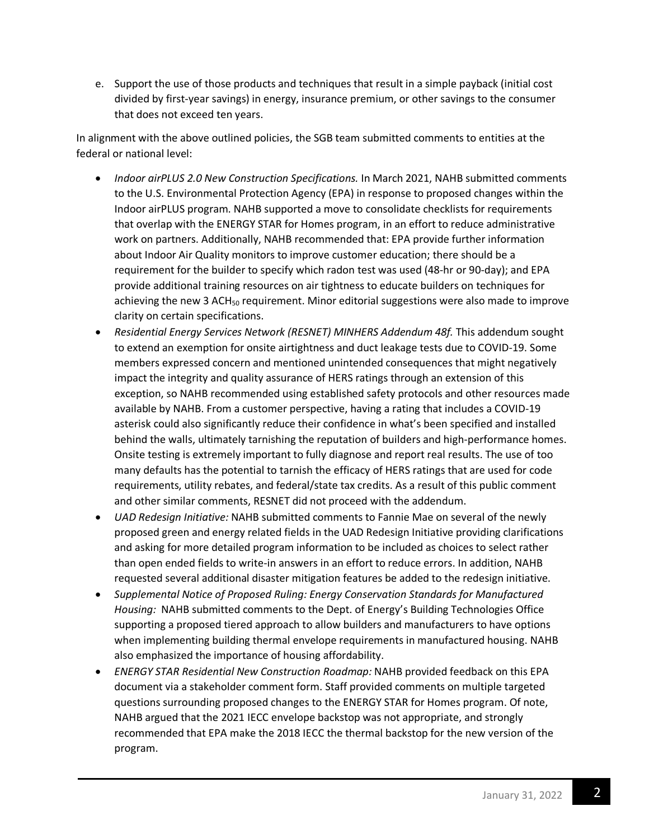e. Support the use of those products and techniques that result in a simple payback (initial cost divided by first-year savings) in energy, insurance premium, or other savings to the consumer that does not exceed ten years.

In alignment with the above outlined policies, the SGB team submitted comments to entities at the federal or national level:

- *Indoor airPLUS 2.0 New Construction Specifications.* In March 2021, NAHB submitted comments to the U.S. Environmental Protection Agency (EPA) in response to proposed changes within the Indoor airPLUS program. NAHB supported a move to consolidate checklists for requirements that overlap with the ENERGY STAR for Homes program, in an effort to reduce administrative work on partners. Additionally, NAHB recommended that: EPA provide further information about Indoor Air Quality monitors to improve customer education; there should be a requirement for the builder to specify which radon test was used (48-hr or 90-day); and EPA provide additional training resources on air tightness to educate builders on techniques for achieving the new 3 ACH<sub>50</sub> requirement. Minor editorial suggestions were also made to improve clarity on certain specifications.
- *Residential Energy Services Network (RESNET) MINHERS Addendum 48f.* This addendum sought to extend an exemption for onsite airtightness and duct leakage tests due to COVID-19. Some members expressed concern and mentioned unintended consequences that might negatively impact the integrity and quality assurance of HERS ratings through an extension of this exception, so NAHB recommended using established safety protocols and other resources made available by NAHB. From a customer perspective, having a rating that includes a COVID-19 asterisk could also significantly reduce their confidence in what's been specified and installed behind the walls, ultimately tarnishing the reputation of builders and high-performance homes. Onsite testing is extremely important to fully diagnose and report real results. The use of too many defaults has the potential to tarnish the efficacy of HERS ratings that are used for code requirements, utility rebates, and federal/state tax credits. As a result of this public comment and other similar comments, RESNET did not proceed with the addendum.
- *UAD Redesign Initiative:* NAHB submitted comments to Fannie Mae on several of the newly proposed green and energy related fields in the UAD Redesign Initiative providing clarifications and asking for more detailed program information to be included as choices to select rather than open ended fields to write-in answers in an effort to reduce errors. In addition, NAHB requested several additional disaster mitigation features be added to the redesign initiative.
- *Supplemental Notice of Proposed Ruling: Energy Conservation Standards for Manufactured Housing:* NAHB submitted comments to the Dept. of Energy's Building Technologies Office supporting a proposed tiered approach to allow builders and manufacturers to have options when implementing building thermal envelope requirements in manufactured housing. NAHB also emphasized the importance of housing affordability.
- *ENERGY STAR Residential New Construction Roadmap:* NAHB provided feedback on this EPA document via a stakeholder comment form. Staff provided comments on multiple targeted questions surrounding proposed changes to the ENERGY STAR for Homes program. Of note, NAHB argued that the 2021 IECC envelope backstop was not appropriate, and strongly recommended that EPA make the 2018 IECC the thermal backstop for the new version of the program.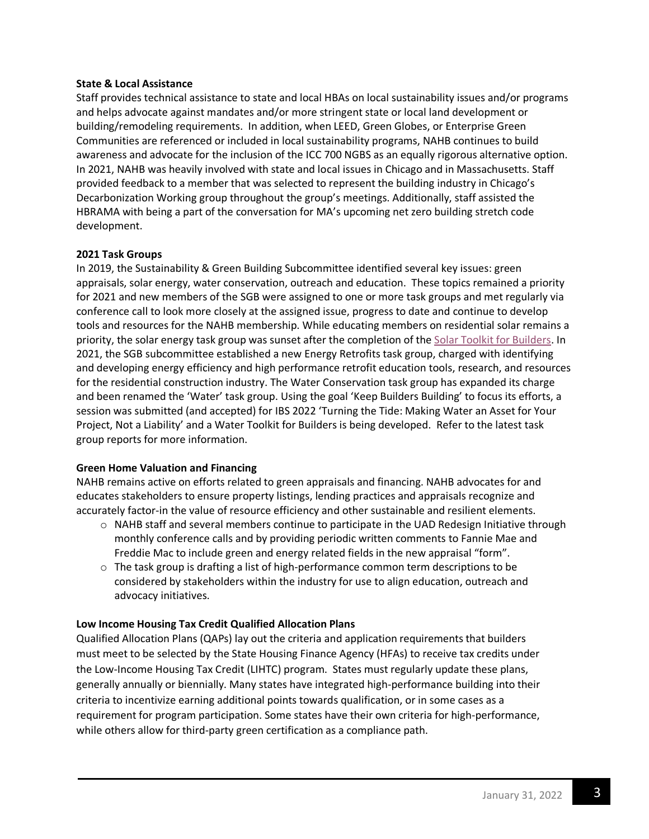### **State & Local Assistance**

Staff provides technical assistance to state and local HBAs on local sustainability issues and/or programs and helps advocate against mandates and/or more stringent state or local land development or building/remodeling requirements. In addition, when LEED, Green Globes, or Enterprise Green Communities are referenced or included in local sustainability programs, NAHB continues to build awareness and advocate for the inclusion of the ICC 700 NGBS as an equally rigorous alternative option. In 2021, NAHB was heavily involved with state and local issues in Chicago and in Massachusetts. Staff provided feedback to a member that was selected to represent the building industry in Chicago's Decarbonization Working group throughout the group's meetings. Additionally, staff assisted the HBRAMA with being a part of the conversation for MA's upcoming net zero building stretch code development.

### **2021 Task Groups**

In 2019, the Sustainability & Green Building Subcommittee identified several key issues: green appraisals, solar energy, water conservation, outreach and education. These topics remained a priority for 2021 and new members of the SGB were assigned to one or more task groups and met regularly via conference call to look more closely at the assigned issue, progress to date and continue to develop tools and resources for the NAHB membership. While educating members on residential solar remains a priority, the solar energy task group was sunset after the completion of the [Solar Toolkit for Builders.](https://www.nahb.org/advocacy/public-toolkits/a-builders-toolkit-for-solar) In 2021, the SGB subcommittee established a new Energy Retrofits task group, charged with identifying and developing energy efficiency and high performance retrofit education tools, research, and resources for the residential construction industry. The Water Conservation task group has expanded its charge and been renamed the 'Water' task group. Using the goal 'Keep Builders Building' to focus its efforts, a session was submitted (and accepted) for IBS 2022 'Turning the Tide: Making Water an Asset for Your Project, Not a Liability' and a Water Toolkit for Builders is being developed. Refer to the latest task group reports for more information.

# **Green Home Valuation and Financing**

NAHB remains active on efforts related to green appraisals and financing. NAHB advocates for and educates stakeholders to ensure property listings, lending practices and appraisals recognize and accurately factor-in the value of resource efficiency and other sustainable and resilient elements.

- o NAHB staff and several members continue to participate in the UAD Redesign Initiative through monthly conference calls and by providing periodic written comments to Fannie Mae and Freddie Mac to include green and energy related fields in the new appraisal "form".
- $\circ$  The task group is drafting a list of high-performance common term descriptions to be considered by stakeholders within the industry for use to align education, outreach and advocacy initiatives.

# **Low Income Housing Tax Credit Qualified Allocation Plans**

Qualified Allocation Plans (QAPs) lay out the criteria and application requirements that builders must meet to be selected by the State Housing Finance Agency (HFAs) to receive tax credits under the Low-Income Housing Tax Credit (LIHTC) program. States must regularly update these plans, generally annually or biennially. Many states have integrated high-performance building into their criteria to incentivize earning additional points towards qualification, or in some cases as a requirement for program participation. Some states have their own criteria for high-performance, while others allow for third-party green certification as a compliance path.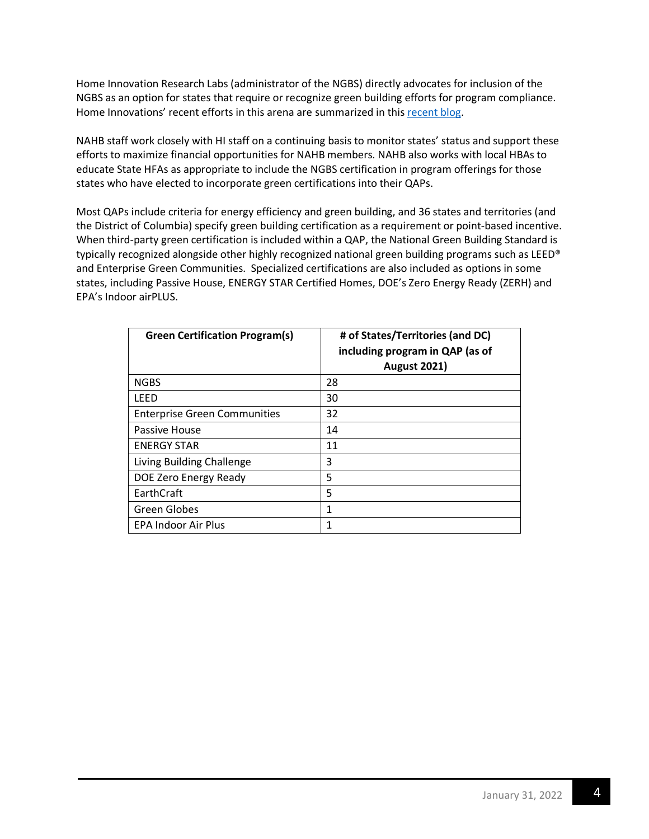Home Innovation Research Labs (administrator of the NGBS) directly advocates for inclusion of the NGBS as an option for states that require or recognize green building efforts for program compliance. Home Innovations' recent efforts in this arena are summarized in this [recent blog.](https://www.homeinnovation.com/about/blog/20210825-cw-quick-qap-recap-aug-2021)

NAHB staff work closely with HI staff on a continuing basis to monitor states' status and support these efforts to maximize financial opportunities for NAHB members. NAHB also works with local HBAs to educate State HFAs as appropriate to include the NGBS certification in program offerings for those states who have elected to incorporate green certifications into their QAPs.

Most QAPs include criteria for energy efficiency and green building, and 36 states and territories (and the District of Columbia) specify green building certification as a requirement or point-based incentive. When third-party green certification is included within a QAP, the National Green Building Standard is typically recognized alongside other highly recognized national green building programs such as LEED® and Enterprise Green Communities. Specialized certifications are also included as options in some states, including Passive House, ENERGY STAR Certified Homes, DOE's Zero Energy Ready (ZERH) and EPA's Indoor airPLUS.

| <b>Green Certification Program(s)</b> | # of States/Territories (and DC)<br>including program in QAP (as of<br><b>August 2021)</b> |
|---------------------------------------|--------------------------------------------------------------------------------------------|
| <b>NGBS</b>                           | 28                                                                                         |
| LEED                                  | 30                                                                                         |
| <b>Enterprise Green Communities</b>   | 32                                                                                         |
| Passive House                         | 14                                                                                         |
| <b>ENERGY STAR</b>                    | 11                                                                                         |
| Living Building Challenge             | 3                                                                                          |
| DOE Zero Energy Ready                 | 5                                                                                          |
| EarthCraft                            | 5                                                                                          |
| <b>Green Globes</b>                   | 1                                                                                          |
| <b>EPA Indoor Air Plus</b>            | 1                                                                                          |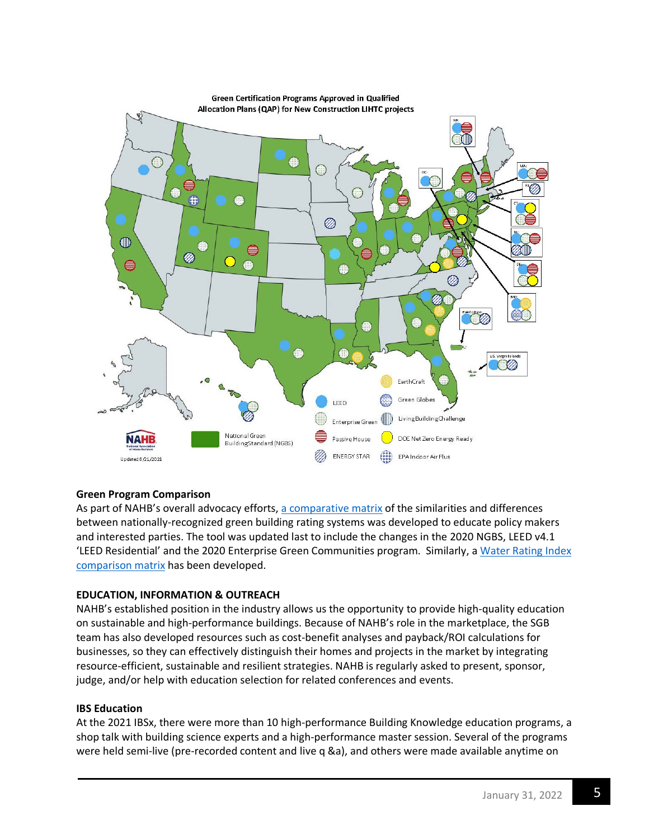

# **Green Program Comparison**

As part of NAHB's overall advocacy efforts, a [comparative matrix](https://www.nahb.org/-/media/98FA44715AC546B89A92B4B9C2907747.ashx) of the similarities and differences between nationally-recognized green building rating systems was developed to educate policy makers and interested parties. The tool was updated last to include the changes in the 2020 NGBS, LEED v4.1 'LEED Residential' and the 2020 Enterprise Green Communities program. Similarly, a Water Rating Index [comparison matrix](https://www.nahb.org/-/media/NAHB/advocacy/docs/industry-issues/sustainability/water-rating-systems-matrix.pdf) has been developed.

### **EDUCATION, INFORMATION & OUTREACH**

NAHB's established position in the industry allows us the opportunity to provide high-quality education on sustainable and high-performance buildings. Because of NAHB's role in the marketplace, the SGB team has also developed resources such as cost-benefit analyses and payback/ROI calculations for businesses, so they can effectively distinguish their homes and projects in the market by integrating resource-efficient, sustainable and resilient strategies. NAHB is regularly asked to present, sponsor, judge, and/or help with education selection for related conferences and events.

### **IBS Education**

At the 2021 IBSx, there were more than 10 high-performance Building Knowledge education programs, a shop talk with building science experts and a high-performance master session. Several of the programs were held semi-live (pre-recorded content and live q &a), and others were made available anytime on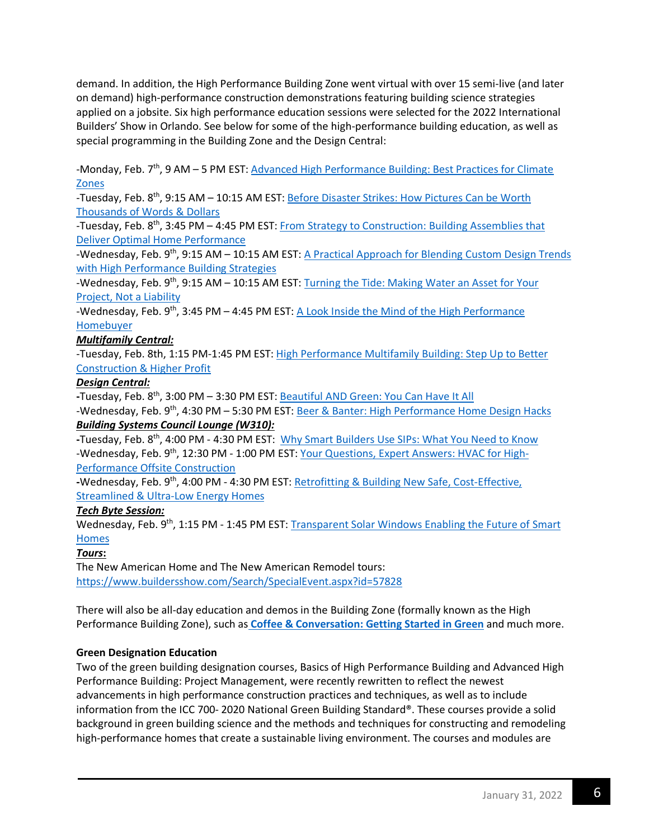demand. In addition, the High Performance Building Zone went virtual with over 15 semi-live (and later on demand) high-performance construction demonstrations featuring building science strategies applied on a jobsite. Six high performance education sessions were selected for the 2022 International Builders' Show in Orlando. See below for some of the high-performance building education, as well as special programming in the Building Zone and the Design Central:

-Monday, Feb. 7<sup>th</sup>, 9 AM – 5 PM EST: Advanced High Performance Building: Best Practices for Climate [Zones](https://www.buildersshow.com/Search/PreshowCourse.aspx?id=36305)

-Tuesday, Feb. 8<sup>th</sup>, 9:15 AM – 10:15 AM EST: Before Disaster Strikes: How Pictures Can be Worth [Thousands of Words & Dollars](https://www.buildersshow.com/Search/EducationSession.aspx?id=1804032)

-Tuesday, Feb. 8<sup>th</sup>, 3:45 PM - 4:45 PM EST: From Strategy to Construction: Building Assemblies that [Deliver Optimal Home Performance](https://www.buildersshow.com/Search/EducationSession.aspx?id=1803972)

-Wednesday, Feb. 9<sup>th</sup>, 9:15 AM – 10:15 AM EST: A Practical Approach for Blending Custom Design Trends [with High Performance Building Strategies](https://www.buildersshow.com/Search/EducationSession.aspx?id=1803963)

-Wednesday, Feb. 9<sup>th</sup>, 9:15 AM – 10:15 AM EST: Turning the Tide: Making Water an Asset for Your [Project, Not a](https://www.buildersshow.com/Search/EducationSession.aspx?id=1804030) Liability

-Wednesday, Feb. 9<sup>th</sup>, 3:45 PM – 4:45 PM EST: A Look Inside the Mind of the High Performance [Homebuyer](https://www.buildersshow.com/Search/EducationSession.aspx?id=1803950)

### *Multifamily Central:*

-Tuesday, Feb. 8th, 1:15 PM-1:45 PM EST: [High Performance Multifamily Building: Step Up to Better](https://www.buildersshow.com/Search/SpecialEvent.aspx?id=57314)  [Construction & Higher Profit](https://www.buildersshow.com/Search/SpecialEvent.aspx?id=57314)

#### *Design Central:*

**-**Tuesday, Feb. 8th, 3:00 PM – 3:30 PM EST: [Beautiful AND Green: You Can Have It All](https://www.buildersshow.com/Search/SpecialEvent.aspx?id=57226)

-Wednesday, Feb. 9th, 4:30 PM – 5:30 PM EST: [Beer & Banter: High Performance Home Design Hacks](https://www.buildersshow.com/Search/SpecialEvent.aspx?id=57182) *Building Systems Council Lounge (W310):*

**-**Tuesday, Feb. 8th, 4:00 PM - 4:30 PM EST: [Why Smart Builders Use SIPs: What You Need to Know](https://www.buildersshow.com/Search/SpecialEvent.aspx?id=57207) -Wednesday, Feb. 9<sup>th</sup>, 12:30 PM - 1:00 PM EST[: Your Questions, Expert Answers: HVAC for High-](https://www.buildersshow.com/Search/SpecialEvent.aspx?id=58050)[Performance Offsite Construction](https://www.buildersshow.com/Search/SpecialEvent.aspx?id=58050)

**-**Wednesday, Feb. 9th, 4:00 PM - 4:30 PM EST: [Retrofitting & Building New Safe, Cost-Effective,](https://www.buildersshow.com/Search/SpecialEvent.aspx?id=57805)  [Streamlined & Ultra-Low Energy Homes](https://www.buildersshow.com/Search/SpecialEvent.aspx?id=57805)

### *Tech Byte Session:*

Wednesday, Feb. 9<sup>th</sup>, 1:15 PM - 1:45 PM EST: Transparent Solar Windows Enabling the Future of Smart [Homes](https://www.buildersshow.com/Search/EducationSession.aspx?id=1806024)

### *Tours***:**

The New American Home and The New American Remodel tours: <https://www.buildersshow.com/Search/SpecialEvent.aspx?id=57828>

There will also be all-day education and demos in the Building Zone (formally known as the High Performance Building Zone), such as **[Coffee & Conversation: Getting Started in Green](https://www.buildersshow.com/Search/SpecialEvent.aspx?id=57118)** and much more.

### **Green Designation Education**

Two of the green building designation courses, Basics of High Performance Building and Advanced High Performance Building: Project Management, were recently rewritten to reflect the newest advancements in high performance construction practices and techniques, as well as to include information from the ICC 700- 2020 National Green Building Standard®. These courses provide a solid background in green building science and the methods and techniques for constructing and remodeling high-performance homes that create a sustainable living environment. The courses and modules are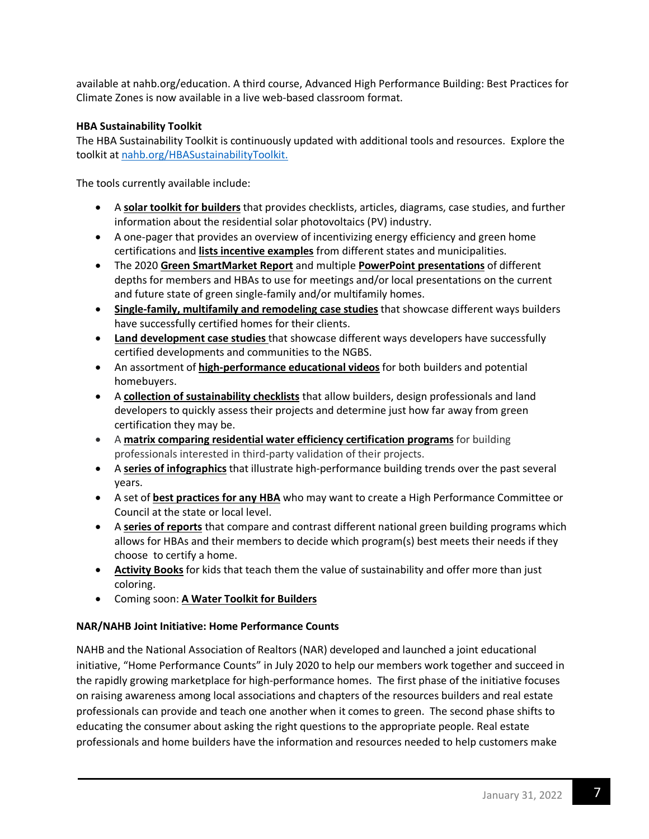available at nahb.org/education. A third course, Advanced High Performance Building: Best Practices for Climate Zones is now available in a live web-based classroom format.

### **HBA Sustainability Toolkit**

The HBA Sustainability Toolkit is continuously updated with additional tools and resources. Explore the toolkit at [nahb.org/HBASustainabilityToolkit.](https://www.nahb.org/advocacy/public-toolkits/NAHB-Sustainability-Toolkit)

The tools currently available include:

- A **solar toolkit for builders** that provides checklists, articles, diagrams, case studies, and further information about the residential solar photovoltaics (PV) industry.
- A one-pager that provides an overview of incentivizing energy efficiency and green home certifications and **lists incentive examples** from different states and municipalities.
- The 2020 **Green SmartMarket Report** and multiple **PowerPoint presentations** of different depths for members and HBAs to use for meetings and/or local presentations on the current and future state of green single-family and/or multifamily homes.
- **Single-family, multifamily and remodeling case studies** that showcase different ways builders have successfully certified homes for their clients.
- **Land development case studies** that showcase different ways developers have successfully certified developments and communities to the NGBS.
- An assortment of **high-performance educational videos** for both builders and potential homebuyers.
- A **collection of sustainability checklists** that allow builders, design professionals and land developers to quickly assess their projects and determine just how far away from green certification they may be.
- A **matrix comparing residential water efficiency certification programs** for building professionals interested in third-party validation of their projects.
- A **series of infographics** that illustrate high-performance building trends over the past several years.
- A set of **best practices for any HBA** who may want to create a High Performance Committee or Council at the state or local level.
- A **series of reports** that compare and contrast different national green building programs which allows for HBAs and their members to decide which program(s) best meets their needs if they choose to certify a home.
- **Activity Books** for kids that teach them the value of sustainability and offer more than just coloring.
- Coming soon: **A Water Toolkit for Builders**

# **NAR/NAHB Joint Initiative: Home Performance Counts**

NAHB and the National Association of Realtors (NAR) developed and launched a joint educational initiative, "Home Performance Counts" in July 2020 to help our members work together and succeed in the rapidly growing marketplace for high-performance homes. The first phase of the initiative focuses on raising awareness among local associations and chapters of the resources builders and real estate professionals can provide and teach one another when it comes to green. The second phase shifts to educating the consumer about asking the right questions to the appropriate people. Real estate professionals and home builders have the information and resources needed to help customers make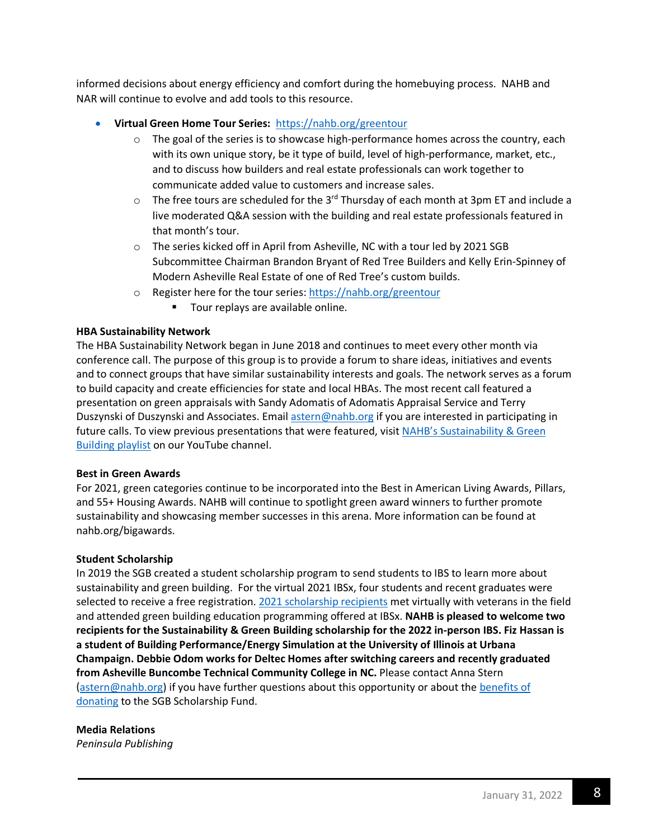informed decisions about energy efficiency and comfort during the homebuying process. NAHB and NAR will continue to evolve and add tools to this resource.

- **Virtual Green Home Tour Series:** <https://nahb.org/greentour>
	- $\circ$  The goal of the series is to showcase high-performance homes across the country, each with its own unique story, be it type of build, level of high-performance, market, etc., and to discuss how builders and real estate professionals can work together to communicate added value to customers and increase sales.
	- $\circ$  The free tours are scheduled for the 3<sup>rd</sup> Thursday of each month at 3pm ET and include a live moderated Q&A session with the building and real estate professionals featured in that month's tour.
	- o The series kicked off in April from Asheville, NC with a tour led by 2021 SGB Subcommittee Chairman Brandon Bryant of Red Tree Builders and Kelly Erin-Spinney of Modern Asheville Real Estate of one of Red Tree's custom builds.
	- o Register here for the tour series:<https://nahb.org/greentour>
		- **Tour [replays](https://www.nahb.org/education-and-events/education/webinars-library/virtual-green-home-tours-library) are available online.**

### **HBA Sustainability Network**

The HBA Sustainability Network began in June 2018 and continues to meet every other month via conference call. The purpose of this group is to provide a forum to share ideas, initiatives and events and to connect groups that have similar sustainability interests and goals. The network serves as a forum to build capacity and create efficiencies for state and local HBAs. The most recent call featured a presentation on green appraisals with Sandy Adomatis of Adomatis Appraisal Service and Terry Duszynski of Duszynski and Associates. Email [astern@nahb.org](mailto:astern@nahb.org) if you are interested in participating in future calls. To view previous presentations that were featured, visi[t NAHB's Sustainability & Green](https://www.youtube.com/playlist?list=PL_I3IPKIZAv98HnEQdTtI-ArI4jJKokM4)  [Building playlist](https://www.youtube.com/playlist?list=PL_I3IPKIZAv98HnEQdTtI-ArI4jJKokM4) on our YouTube channel.

### **Best in Green Awards**

For 2021, green categories continue to be incorporated into the Best in American Living Awards, Pillars, and 55+ Housing Awards. NAHB will continue to spotlight green award winners to further promote sustainability and showcasing member successes in this arena. More information can be found at nahb.org/bigawards.

### **Student Scholarship**

In 2019 the SGB created a student scholarship program to send students to IBS to learn more about sustainability and green building. For the virtual 2021 IBSx, four students and recent graduates were selected to receive a free registration. [2021 scholarship recipients](https://nahbnow.com/2021/03/top-ibsx-takeaways-from-sustainability-green-building-scholarship-recipients/) met virtually with veterans in the field and attended green building education programming offered at IBSx. **NAHB is pleased to welcome two recipients for the Sustainability & Green Building scholarship for the 2022 in-person IBS. Fiz Hassan is a student of Building Performance/Energy Simulation at the University of Illinois at Urbana Champaign. Debbie Odom works for Deltec Homes after switching careers and recently graduated from Asheville Buncombe Technical Community College in NC.** Please contact Anna Stern [\(astern@nahb.org\)](mailto:astern@nahb.org) if you have further questions about this opportunity or about the [benefits of](https://donatenow.networkforgood.org/sustainabilityscholarship)  [donating](https://donatenow.networkforgood.org/sustainabilityscholarship) to the SGB Scholarship Fund.

### **Media Relations**

*Peninsula Publishing*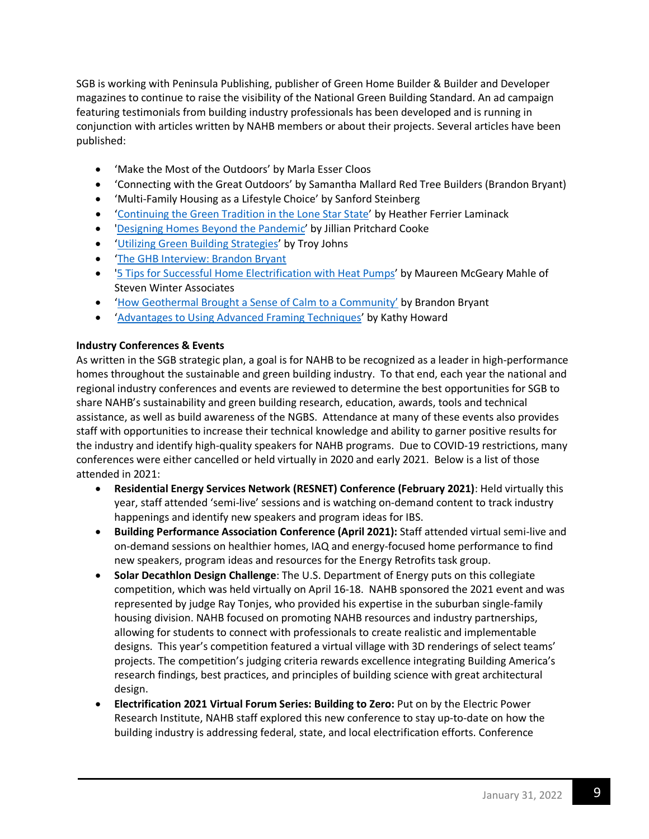SGB is working with Peninsula Publishing, publisher of Green Home Builder & Builder and Developer magazines to continue to raise the visibility of the National Green Building Standard. An ad campaign featuring testimonials from building industry professionals has been developed and is running in conjunction with articles written by NAHB members or about their projects. Several articles have been published:

- ['Make the Most of the Outdoors'](https://greenhomebuildermag.com/outdoor-space-garden/) by Marla Esser Cloos
- ['Connecting with the Great Outdoors'](https://bdmag.com/great-outdoors-home-wellness/) by Samantha Mallard Red Tree Builders (Brandon Bryant)
- ['Multi-Family Housing as a Lifestyle Choice'](https://greenhomebuildermag.com/multi-family-housing-as-a-lifestyle-choice-in-2020/) by Sanford Steinberg
- ['Continuing the Green Tradition in the Lone Star State'](https://greenhomebuildermag.com/ferrier-custom-homes-green-building-texas-coleman/) by Heather Ferrier Laminack
- ['Designing Homes Beyond the Pandemic'](https://greenhomebuildermag.com/designing-pandemic-home-wellness-health/) by Jillian Pritchard Cooke
- 'Utilizing Green [Building Strategies'](https://bdmag.com/utilizing-green-building-strategies/) by Troy Johns
- ['The GHB Interview: Brandon Bryant](https://greenhomebuildermag.com/?s=brandon)
- ['5 Tips for Successful Home Electrification with Heat Pumps'](https://greenhomebuildermag.com/heat-pumps-electrification-homes-2021/) by Maureen McGeary Mahle of Steven Winter Associates
- ['How Geothermal Brought a Sense of Calm to a Community'](https://greenhomebuildermag.com/geothermal-sense-calm-community/) by Brandon Bryant
- ['Advantages to Using Advanced Framing Techniques'](https://greenhomebuildermag.com/geothermal-sense-calm-community/) by Kathy Howard

### **Industry Conferences & Events**

As written in the SGB strategic plan, a goal is for NAHB to be recognized as a leader in high-performance homes throughout the sustainable and green building industry. To that end, each year the national and regional industry conferences and events are reviewed to determine the best opportunities for SGB to share NAHB's sustainability and green building research, education, awards, tools and technical assistance, as well as build awareness of the NGBS. Attendance at many of these events also provides staff with opportunities to increase their technical knowledge and ability to garner positive results for the industry and identify high-quality speakers for NAHB programs. Due to COVID-19 restrictions, many conferences were either cancelled or held virtually in 2020 and early 2021. Below is a list of those attended in 2021:

- **Residential Energy Services Network (RESNET) Conference (February 2021)**: Held virtually this year, staff attended 'semi-live' sessions and is watching on-demand content to track industry happenings and identify new speakers and program ideas for IBS.
- **Building Performance Association Conference (April 2021):** Staff attended virtual semi-live and on-demand sessions on healthier homes, IAQ and energy-focused home performance to find new speakers, program ideas and resources for the Energy Retrofits task group.
- **Solar Decathlon Design Challenge**: The U.S. Department of Energy puts on this collegiate competition, which was held virtually on April 16-18. NAHB sponsored the 2021 event and was represented by judge Ray Tonjes, who provided his expertise in the suburban single-family housing division. NAHB focused on promoting NAHB resources and industry partnerships, allowing for students to connect with professionals to create realistic and implementable designs. This year's competition featured a virtual village with 3D renderings of select teams' projects. The competition's judging criteria rewards excellence integrating Building America's research findings, best practices, and principles of building science with great architectural design.
- **Electrification 2021 Virtual Forum Series: Building to Zero:** Put on by the Electric Power Research Institute, NAHB staff explored this new conference to stay up-to-date on how the building industry is addressing federal, state, and local electrification efforts. Conference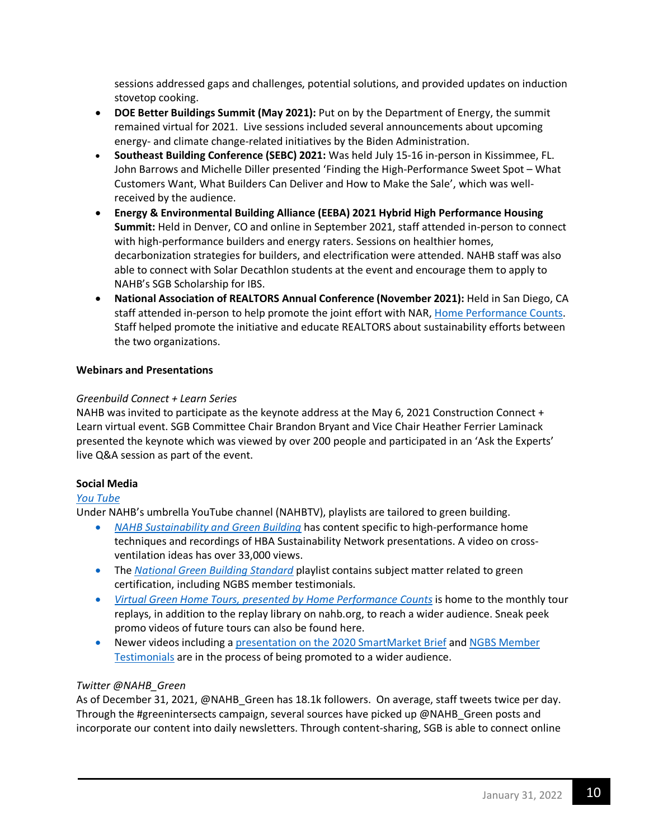sessions addressed gaps and challenges, potential solutions, and provided updates on induction stovetop cooking.

- **DOE Better Buildings Summit (May 2021):** Put on by the Department of Energy, the summit remained virtual for 2021. Live sessions included several announcements about upcoming energy- and climate change-related initiatives by the Biden Administration.
- **Southeast Building Conference (SEBC) 2021:** Was held July 15-16 in-person in Kissimmee, FL. John Barrows and Michelle Diller presented 'Finding the High-Performance Sweet Spot – What Customers Want, What Builders Can Deliver and How to Make the Sale', which was wellreceived by the audience.
- **Energy & Environmental Building Alliance (EEBA) 2021 Hybrid High Performance Housing Summit:** Held in Denver, CO and online in September 2021, staff attended in-person to connect with high-performance builders and energy raters. Sessions on healthier homes, decarbonization strategies for builders, and electrification were attended. NAHB staff was also able to connect with Solar Decathlon students at the event and encourage them to apply to NAHB's SGB Scholarship for IBS.
- **National Association of REALTORS Annual Conference (November 2021):** Held in San Diego, CA staff attended in-person to help promote the joint effort with NAR, [Home Performance Counts.](http://www.homeperformancecounts.info/) Staff helped promote the initiative and educate REALTORS about sustainability efforts between the two organizations.

### **Webinars and Presentations**

### *Greenbuild Connect + Learn Series*

NAHB was invited to participate as the keynote address at the May 6, 2021 Construction Connect + Learn virtual event. SGB Committee Chair Brandon Bryant and Vice Chair Heather Ferrier Laminack presented the keynote which was viewed by over 200 people and participated in an 'Ask the Experts' live Q&A session as part of the event.

### **Social Media**

### *[You Tube](https://www.youtube.com/playlist?list=PL_I3IPKIZAv98HnEQdTtI-ArI4jJKokM4)*

Under NAHB's umbrella YouTube channel (NAHBTV), playlists are tailored to green building.

- *[NAHB Sustainability and Green Building](https://www.youtube.com/playlist?list=PL_I3IPKIZAv98HnEQdTtI-ArI4jJKokM4)* has content specific to high-performance home techniques and recordings of HBA Sustainability Network presentations. A video on crossventilation ideas has over 33,000 views.
- The *[National Green Building Standard](https://www.youtube.com/watch?v=cB5WuAzbqXQ&list=PL_I3IPKIZAv_IDONFLcxyiasIB8uY9Kuy)* playlist contains subject matter related to green certification, including NGBS member testimonials.
- *Virtual Green Home [Tours, presented by Home Performance Counts](https://www.youtube.com/playlist?list=PL_I3IPKIZAv-qO3QY6n0EP9NErpvDcrst)* is home to the monthly tour replays, in addition to the replay library on nahb.org, to reach a wider audience. Sneak peek promo videos of future tours can also be found here.
- Newer videos including [a presentation on the 2020 SmartMarket Brief](https://www.youtube.com/watch?v=DiE2JL0WLVU&list=PL_I3IPKIZAv98HnEQdTtI-ArI4jJKokM4) and [NGBS Member](https://www.youtube.com/watch?v=_syDWFX7u9A&list=PL_I3IPKIZAv98HnEQdTtI-ArI4jJKokM4)  [Testimonials](https://www.youtube.com/watch?v=_syDWFX7u9A&list=PL_I3IPKIZAv98HnEQdTtI-ArI4jJKokM4) are in the process of being promoted to a wider audience.

### *Twitter @NAHB\_Green*

As of December 31, 2021, @NAHB\_Green has 18.1k followers. On average, staff tweets twice per day. Through the #greenintersects campaign, several sources have picked up @NAHB Green posts and incorporate our content into daily newsletters. Through content-sharing, SGB is able to connect online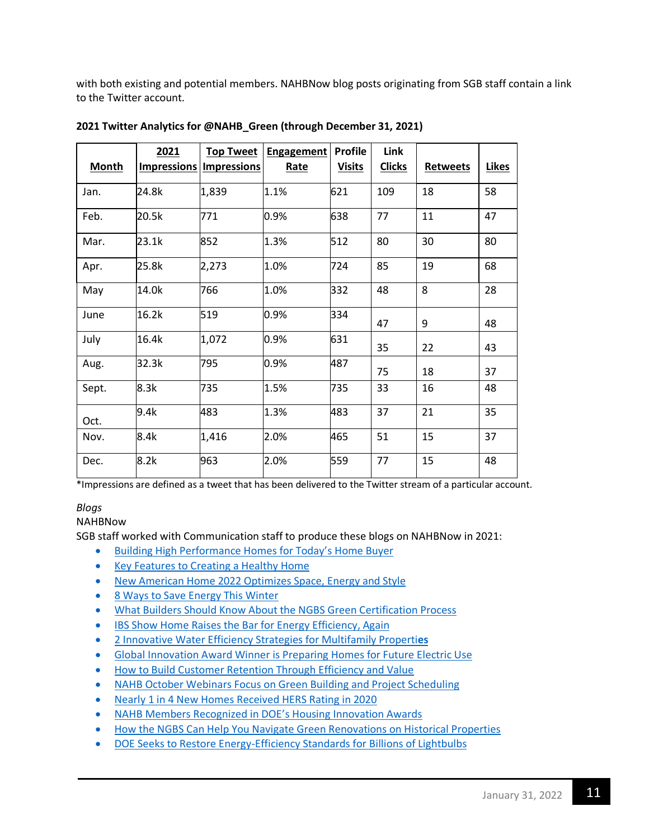with both existing and potential members. NAHBNow blog posts originating from SGB staff contain a link to the Twitter account.

|       | 2021               | <b>Top Tweet</b>   | Engagement | <b>Profile</b> | Link          |                 |              |
|-------|--------------------|--------------------|------------|----------------|---------------|-----------------|--------------|
| Month | <b>Impressions</b> | <b>Impressions</b> | Rate       | <b>Visits</b>  | <b>Clicks</b> | <b>Retweets</b> | <b>Likes</b> |
| Jan.  | 24.8k              | 1,839              | 1.1%       | 621            | 109           | 18              | 58           |
| Feb.  | 20.5k              | 771                | 0.9%       | 638            | 77            | 11              | 47           |
| Mar.  | 23.1k              | 852                | 1.3%       | 512            | 80            | 30              | 80           |
| Apr.  | 25.8k              | 2,273              | 1.0%       | 724            | 85            | 19              | 68           |
| May   | 14.0k              | 766                | 1.0%       | 332            | 48            | 8               | 28           |
| June  | 16.2k              | 519                | 0.9%       | 334            | 47            | 9               | 48           |
| July  | 16.4k              | 1,072              | 0.9%       | 631            | 35            | 22              | 43           |
| Aug.  | 32.3k              | 795                | 0.9%       | 487            | 75            | 18              | 37           |
| Sept. | 8.3k               | 735                | 1.5%       | 735            | 33            | 16              | 48           |
| Oct.  | 9.4k               | 483                | 1.3%       | 483            | 37            | 21              | 35           |
| Nov.  | 8.4k               | 1,416              | 2.0%       | 465            | 51            | 15              | 37           |
| Dec.  | 8.2k               | 963                | 2.0%       | 559            | 77            | 15              | 48           |

**2021 Twitter Analytics for @NAHB\_Green (through December 31, 2021)**

\*Impressions are defined as a tweet that has been delivered to the Twitter stream of a particular account.

# *Blogs*

# NAHBNow

SGB staff worked with Communication staff to produce these blogs on NAHBNow in 2021:

- [Building High Performance Homes for Today's Home Buyer](https://nahbnow.com/2022/01/building-high-performance-homes-for-todays-home-buyer/)
- [Key Features to Creating a Healthy Home](https://nahbnow.com/2022/01/key-features-to-creating-a-healthy-home/)
- [New American Home 2022 Optimizes Space, Energy and Style](https://nahbnow.com/2021/12/new-american-home-2022-optimizes-space-energy-and-style/)
- [8 Ways to Save Energy This Winter](https://nahbnow.com/2021/12/8-ways-to-save-energy-this-winter/)
- [What Builders Should Know About the NGBS Green Certification Process](https://nahbnow.com/2021/11/what-builders-should-know-about-the-ngbs-green-certification-process/)
- [IBS Show Home Raises the Bar for Energy Efficiency, Again](https://nahbnow.com/2021/11/ibs-show-home-raises-the-bar-for-energy-efficiency-again/)
- [2 Innovative Water Efficiency Strategies for Multifamily Properti](https://nahbnow.com/2021/11/2-innovative-water-efficiency-strategies-for-multifamily-properties/)**es**
- [Global Innovation Award Winner is Preparing Homes for Future Electric Use](https://nahbnow.com/2021/10/global-innovation-award-winner-is-preparing-homes-for-future-electric-use/)
- [How to Build Customer Retention Through Efficiency and Value](https://nahbnow.com/2021/10/how-to-build-customer-retention-through-efficiency-and-value/)
- [NAHB October Webinars Focus on Green Building and Project Scheduling](https://nahbnow.com/2021/10/nahb-october-webinars-focus-on-green-building-and-project-scheduling/)
- [Nearly 1 in 4 New Homes Received HERS Rating in 2020](https://nahbnow.com/2021/10/nearly-1-in-4-new-homes-in-2020-was-hers-rated/)
- [NAHB Members Recognized in DOE's Housing Innovation Awards](https://nahbnow.com/2021/09/nahb-members-recognized-in-does-housing-innovation-awards/)
- [How the NGBS Can Help You Navigate Green Renovations on Historical Properties](https://nahbnow.com/2021/09/how-the-ngbs-can-help-you-navigate-green-renovations-on-historical-properties/)
- [DOE Seeks to Restore Energy-Efficiency Standards for Billions of Lightbulbs](https://nahbnow.com/2021/09/doe-seeks-to-restore-energy-efficiency-standards-for-billions-of-lightbulbs/)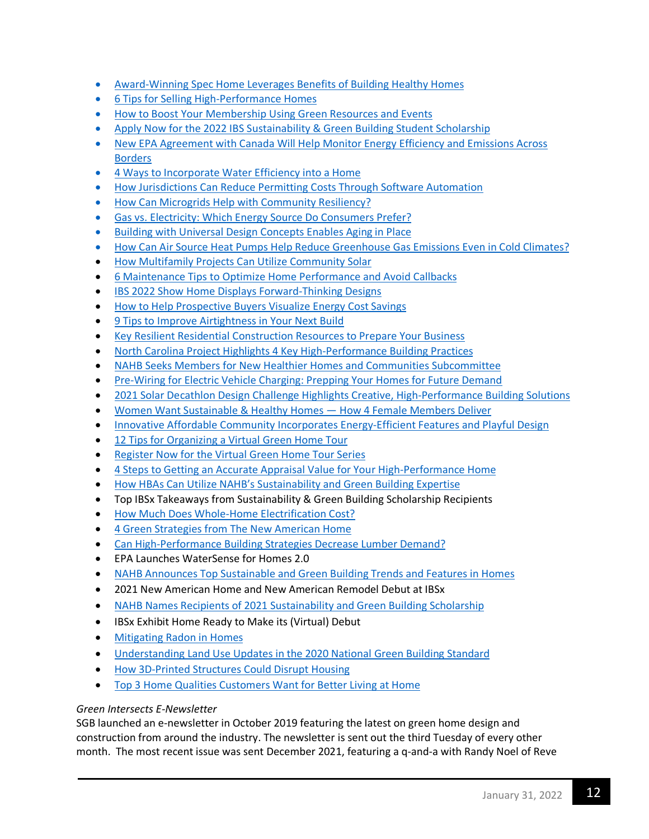- [Award-Winning Spec Home Leverages Benefits of Building Healthy Homes](https://nahbnow.com/2021/09/award-winning-spec-home-leverages-benefits-of-building-healthy-homes/)
- [6 Tips for Selling High-Performance Homes](https://nahbnow.com/2021/08/6-tips-for-selling-high-performance-homes/)
- [How to Boost Your Membership Using Green Resources and Events](https://nahbnow.com/2021/08/how-to-boost-your-membership-using-green-resources-and-events/)
- [Apply Now for the 2022 IBS Sustainability & Green Building Student Scholarship](https://nahbnow.com/2021/08/apply-now-for-the-2022-ibs-sustainability-green-building-student-scholarship/)
- [New EPA Agreement with Canada Will Help Monitor Energy Efficiency and Emissions Across](https://nahbnow.com/2021/08/new-epa-agreement-with-canada-will-help-monitor-energy-efficiency-and-emissions-across-borders/)  [Borders](https://nahbnow.com/2021/08/new-epa-agreement-with-canada-will-help-monitor-energy-efficiency-and-emissions-across-borders/)
- [4 Ways to Incorporate Water Efficiency into a Home](https://nahbnow.com/2021/07/4-ways-to-incorporate-water-efficiency-into-a-home/)
- [How Jurisdictions Can Reduce Permitting Costs Through Software Automation](https://nahbnow.com/2021/07/how-jurisdictions-can-reduce-permitting-costs-through-software-automation/)
- [How Can Microgrids Help with Community Resiliency?](https://nahbnow.com/2021/07/how-can-microgrids-help-with-community-resiliency/)
- [Gas vs. Electricity: Which Energy Source Do Consumers Prefer?](https://nahbnow.com/2021/07/gas-vs-electricity-which-energy-source-do-consumers-prefer/)
- [Building with Universal Design Concepts Enables Aging in Place](https://nahbnow.com/2021/06/building-with-universal-design-concepts-enables-aging-in-place/)
- [How Can Air Source Heat Pumps Help Reduce Greenhouse Gas Emissions Even in Cold](https://nahbnow.com/2021/06/how-can-air-source-heat-pumps-help-reduce-greenhouse-gas-emissions-even-in-cold-climates/) Climates?
- [How Multifamily Projects Can Utilize Community Solar](https://nahbnow.com/2021/06/how-multifamily-projects-can-utilize-community-solar/)
- [6 Maintenance Tips to Optimize Home Performance and Avoid Callbacks](https://nahbnow.com/2021/06/6-maintenance-tips-to-optimize-home-performance-and-avoid-callbacks/)
- [IBS 2022 Show Home Displays Forward-Thinking Designs](https://nahbnow.com/2021/06/ibs-2022-show-home-displays-forward-thinking-designs/)
- [How to Help Prospective Buyers Visualize Energy Cost Savings](https://nahbnow.com/2021/06/how-to-help-prospective-buyers-visualize-energy-cost-savings/)
- [9 Tips to Improve Airtightness in Your Next Build](https://nahbnow.com/2021/05/9-tips-to-improve-airtightness-in-your-next-build/)
- [Key Resilient Residential Construction Resources to Prepare Your Business](https://nahbnow.com/2021/05/key-resilient-residential-construction-resources-to-prepare-your-business/)
- [North Carolina Project Highlights 4 Key High-Performance Building Practices](https://nahbnow.com/2021/05/north-carolina-project-highlights-4-key-high-performance-building-practices/)
- [NAHB Seeks Members for New Healthier Homes and Communities Subcommittee](https://nahbnow.com/2021/05/nahb-seeks-members-for-new-healthier-homes-and-communities-subcommittee/)
- [Pre-Wiring for Electric Vehicle Charging: Prepping Your Homes for Future Demand](https://nahbnow.com/2021/04/pre-wiring-for-electric-vehicle-charging-prepping-your-homes-for-future-demand/)
- [2021 Solar Decathlon Design Challenge Highlights Creative, High-Performance Building Solutions](https://nahbnow.com/2021/04/2021-solar-decathlon-design-challenge-highlights-creative-high-performance-building-solutions/)
- [Women Want Sustainable & Healthy Homes —](https://nahbnow.com/2021/04/women-want-sustainable-healthy-homes-how-4-female-members-deliver/) How 4 Female Members Deliver
- [Innovative Affordable Community Incorporates Energy-Efficient Features and Playful Design](https://nahbnow.com/2021/04/innovative-affordable-community-incorporates-energy-efficient-features-and-playful-design/)
- [12 Tips for Organizing a Virtual Green Home Tour](https://nahbnow.com/2021/04/12-tips-for-organizing-a-virtual-green-home-tour/)
- [Register Now for the Virtual Green Home Tour Series](https://nahbnow.com/2021/04/register-now-for-the-virtual-green-home-tour-series/)
- [4 Steps to Getting an Accurate Appraisal Value for Your High-Performance Home](https://nahbnow.com/2021/03/4-steps-to-getting-an-accurate-appraisal-value-for-your-high-performance-home/)
- [How HBAs Can Utilize NAHB's Sustainability and Green Building Expertise](https://nahbnow.com/2021/03/how-hbas-can-utilize-nahbs-sustainability-and-green-building-expertise/)
- [Top IBSx Takeaways from Sustainability & Green Building Scholarship Recipients](https://nahbnow.com/2021/03/top-ibsx-takeaways-from-sustainability-green-building-scholarship-recipients/)
- [How Much Does Whole-Home Electrification Cost?](https://nahbnow.com/2021/03/how-much-does-whole-home-electrification-cost/)
- [4 Green Strategies from The New American Home](https://nahbnow.com/2021/03/4-green-strategies-from-the-new-american-home/)
- [Can High-Performance Building Strategies Decrease Lumber Demand?](https://nahbnow.com/2021/02/can-high-performance-building-strategies-decrease-lumber-demand/)
- [EPA Launches WaterSense for Homes 2.0](https://nahbnow.com/2021/02/epa-launches-watersense-for-homes-2-0/)
- [NAHB Announces Top Sustainable and Green Building Trends and Features in Homes](https://nahbnow.com/2021/02/nahb-announces-top-sustainable-and-green-building-trends-and-features-in-homes/)
- [2021 New American Home and New American Remodel Debut at IBSx](https://nahbnow.com/2021/02/2021-new-american-home-and-new-american-remodel-debut-at-ibsx/)
- [NAHB Names Recipients of 2021 Sustainability and Green Building Scholarship](https://nahbnow.com/2021/02/nahb-names-recipients-of-2021-sustainability-and-green-building-scholarship/)
- [IBSx Exhibit Home Ready to Make its \(Virtual\) Debut](https://nahbnow.com/2021/01/ibsx-exhibit-home-ready-to-make-its-virtual-debut/)
- [Mitigating Radon in Homes](https://nahbnow.com/2021/01/mitigating-radon-in-homes/)
- [Understanding Land Use Updates in the 2020 National Green Building Standard](https://nahbnow.com/2021/01/understanding-land-use-updates-in-the-2020-national-green-building-standard/)
- [How 3D-Printed Structures Could Disrupt Housing](https://nahbnow.com/2021/01/how-3d-printed-structures-could-disrupt-housing/)
- [Top 3 Home Qualities Customers Want for Better Living at Home](https://nahbnow.com/2021/01/top-3-home-qualities-customers-want-for-better-living-at-home/)

### *Green Intersects E-Newsletter*

SGB launched an e-newsletter in October 2019 featuring the latest on green home design and construction from around the industry. The newsletter is sent out the third Tuesday of every other month. The most recent issue was sent December 2021, featuring a q-and-a with Randy Noel of Reve